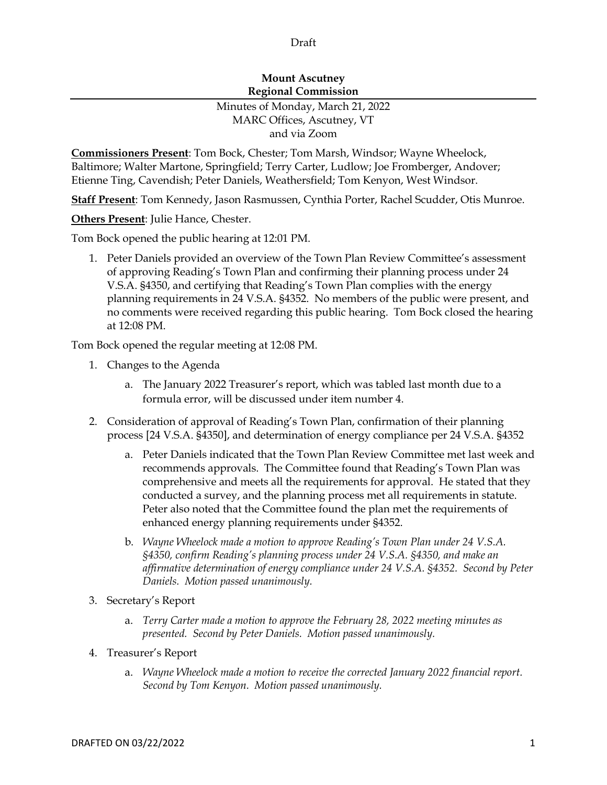## Draft

## **Mount Ascutney Regional Commission**

## Minutes of Monday, March 21, 2022 MARC Offices, Ascutney, VT and via Zoom

**Commissioners Present**: Tom Bock, Chester; Tom Marsh, Windsor; Wayne Wheelock, Baltimore; Walter Martone, Springfield; Terry Carter, Ludlow; Joe Fromberger, Andover; Etienne Ting, Cavendish; Peter Daniels, Weathersfield; Tom Kenyon, West Windsor.

**Staff Present**: Tom Kennedy, Jason Rasmussen, Cynthia Porter, Rachel Scudder, Otis Munroe.

**Others Present**: Julie Hance, Chester.

Tom Bock opened the public hearing at 12:01 PM.

1. Peter Daniels provided an overview of the Town Plan Review Committee's assessment of approving Reading's Town Plan and confirming their planning process under 24 V.S.A. §4350, and certifying that Reading's Town Plan complies with the energy planning requirements in 24 V.S.A. §4352. No members of the public were present, and no comments were received regarding this public hearing. Tom Bock closed the hearing at 12:08 PM.

Tom Bock opened the regular meeting at 12:08 PM.

- 1. Changes to the Agenda
	- a. The January 2022 Treasurer's report, which was tabled last month due to a formula error, will be discussed under item number 4.
- 2. Consideration of approval of Reading's Town Plan, confirmation of their planning process [24 V.S.A. §4350], and determination of energy compliance per 24 V.S.A. §4352
	- a. Peter Daniels indicated that the Town Plan Review Committee met last week and recommends approvals. The Committee found that Reading's Town Plan was comprehensive and meets all the requirements for approval. He stated that they conducted a survey, and the planning process met all requirements in statute. Peter also noted that the Committee found the plan met the requirements of enhanced energy planning requirements under §4352.
	- b. *Wayne Wheelock made a motion to approve Reading's Town Plan under 24 V.S.A. §4350, confirm Reading's planning process under 24 V.S.A. §4350, and make an affirmative determination of energy compliance under 24 V.S.A. §4352. Second by Peter Daniels. Motion passed unanimously.*
- 3. Secretary's Report
	- a. *Terry Carter made a motion to approve the February 28, 2022 meeting minutes as presented. Second by Peter Daniels. Motion passed unanimously.*
- 4. Treasurer's Report
	- a. *Wayne Wheelock made a motion to receive the corrected January 2022 financial report. Second by Tom Kenyon. Motion passed unanimously.*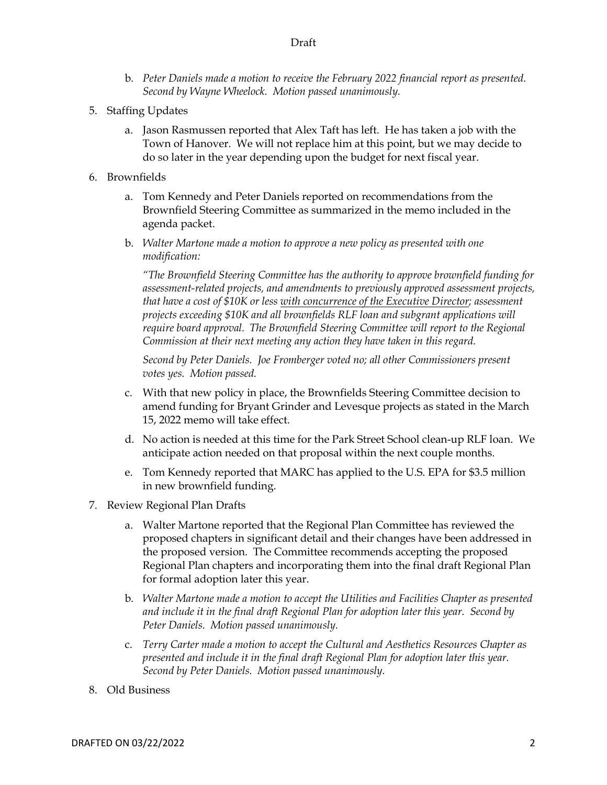- b. *Peter Daniels made a motion to receive the February 2022 financial report as presented. Second by Wayne Wheelock. Motion passed unanimously.*
- 5. Staffing Updates
	- a. Jason Rasmussen reported that Alex Taft has left. He has taken a job with the Town of Hanover. We will not replace him at this point, but we may decide to do so later in the year depending upon the budget for next fiscal year.
- 6. Brownfields
	- a. Tom Kennedy and Peter Daniels reported on recommendations from the Brownfield Steering Committee as summarized in the memo included in the agenda packet.
	- b. *Walter Martone made a motion to approve a new policy as presented with one modification:*

*"The Brownfield Steering Committee has the authority to approve brownfield funding for assessment-related projects, and amendments to previously approved assessment projects, that have a cost of \$10K or less with concurrence of the Executive Director; assessment projects exceeding \$10K and all brownfields RLF loan and subgrant applications will*  require board approval. The Brownfield Steering Committee will report to the Regional *Commission at their next meeting any action they have taken in this regard.* 

*Second by Peter Daniels. Joe Fromberger voted no; all other Commissioners present votes yes. Motion passed.*

- c. With that new policy in place, the Brownfields Steering Committee decision to amend funding for Bryant Grinder and Levesque projects as stated in the March 15, 2022 memo will take effect.
- d. No action is needed at this time for the Park Street School clean-up RLF loan. We anticipate action needed on that proposal within the next couple months.
- e. Tom Kennedy reported that MARC has applied to the U.S. EPA for \$3.5 million in new brownfield funding.
- 7. Review Regional Plan Drafts
	- a. Walter Martone reported that the Regional Plan Committee has reviewed the proposed chapters in significant detail and their changes have been addressed in the proposed version. The Committee recommends accepting the proposed Regional Plan chapters and incorporating them into the final draft Regional Plan for formal adoption later this year.
	- b. *Walter Martone made a motion to accept the Utilities and Facilities Chapter as presented and include it in the final draft Regional Plan for adoption later this year. Second by Peter Daniels. Motion passed unanimously.*
	- c. *Terry Carter made a motion to accept the Cultural and Aesthetics Resources Chapter as presented and include it in the final draft Regional Plan for adoption later this year. Second by Peter Daniels. Motion passed unanimously.*
- 8. Old Business